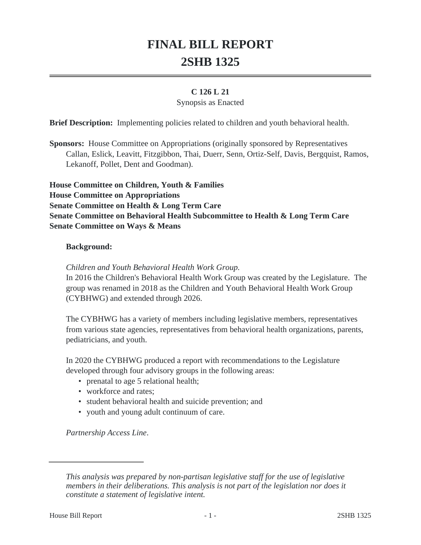# **FINAL BILL REPORT 2SHB 1325**

#### **C 126 L 21**

#### Synopsis as Enacted

**Brief Description:** Implementing policies related to children and youth behavioral health.

**Sponsors:** House Committee on Appropriations (originally sponsored by Representatives Callan, Eslick, Leavitt, Fitzgibbon, Thai, Duerr, Senn, Ortiz-Self, Davis, Bergquist, Ramos, Lekanoff, Pollet, Dent and Goodman).

**House Committee on Children, Youth & Families House Committee on Appropriations Senate Committee on Health & Long Term Care Senate Committee on Behavioral Health Subcommittee to Health & Long Term Care Senate Committee on Ways & Means**

#### **Background:**

*Children and Youth Behavioral Health Work Group.*

In 2016 the Children's Behavioral Health Work Group was created by the Legislature. The group was renamed in 2018 as the Children and Youth Behavioral Health Work Group (CYBHWG) and extended through 2026.

The CYBHWG has a variety of members including legislative members, representatives from various state agencies, representatives from behavioral health organizations, parents, pediatricians, and youth.

In 2020 the CYBHWG produced a report with recommendations to the Legislature developed through four advisory groups in the following areas:

- prenatal to age 5 relational health;
- workforce and rates:
- student behavioral health and suicide prevention; and
- youth and young adult continuum of care.

*Partnership Access Line*.

*This analysis was prepared by non-partisan legislative staff for the use of legislative members in their deliberations. This analysis is not part of the legislation nor does it constitute a statement of legislative intent.*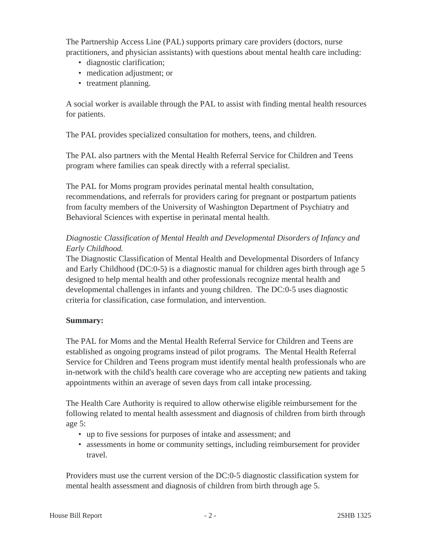The Partnership Access Line (PAL) supports primary care providers (doctors, nurse practitioners, and physician assistants) with questions about mental health care including:

- diagnostic clarification;
- medication adjustment; or
- treatment planning.

A social worker is available through the PAL to assist with finding mental health resources for patients.

The PAL provides specialized consultation for mothers, teens, and children.

The PAL also partners with the Mental Health Referral Service for Children and Teens program where families can speak directly with a referral specialist.

The PAL for Moms program provides perinatal mental health consultation, recommendations, and referrals for providers caring for pregnant or postpartum patients from faculty members of the University of Washington Department of Psychiatry and Behavioral Sciences with expertise in perinatal mental health.

### *Diagnostic Classification of Mental Health and Developmental Disorders of Infancy and Early Childhood.*

The Diagnostic Classification of Mental Health and Developmental Disorders of Infancy and Early Childhood (DC:0-5) is a diagnostic manual for children ages birth through age 5 designed to help mental health and other professionals recognize mental health and developmental challenges in infants and young children. The DC:0-5 uses diagnostic criteria for classification, case formulation, and intervention.

#### **Summary:**

The PAL for Moms and the Mental Health Referral Service for Children and Teens are established as ongoing programs instead of pilot programs. The Mental Health Referral Service for Children and Teens program must identify mental health professionals who are in-network with the child's health care coverage who are accepting new patients and taking appointments within an average of seven days from call intake processing.

The Health Care Authority is required to allow otherwise eligible reimbursement for the following related to mental health assessment and diagnosis of children from birth through age 5:

- up to five sessions for purposes of intake and assessment; and
- assessments in home or community settings, including reimbursement for provider travel.

Providers must use the current version of the DC:0-5 diagnostic classification system for mental health assessment and diagnosis of children from birth through age 5.